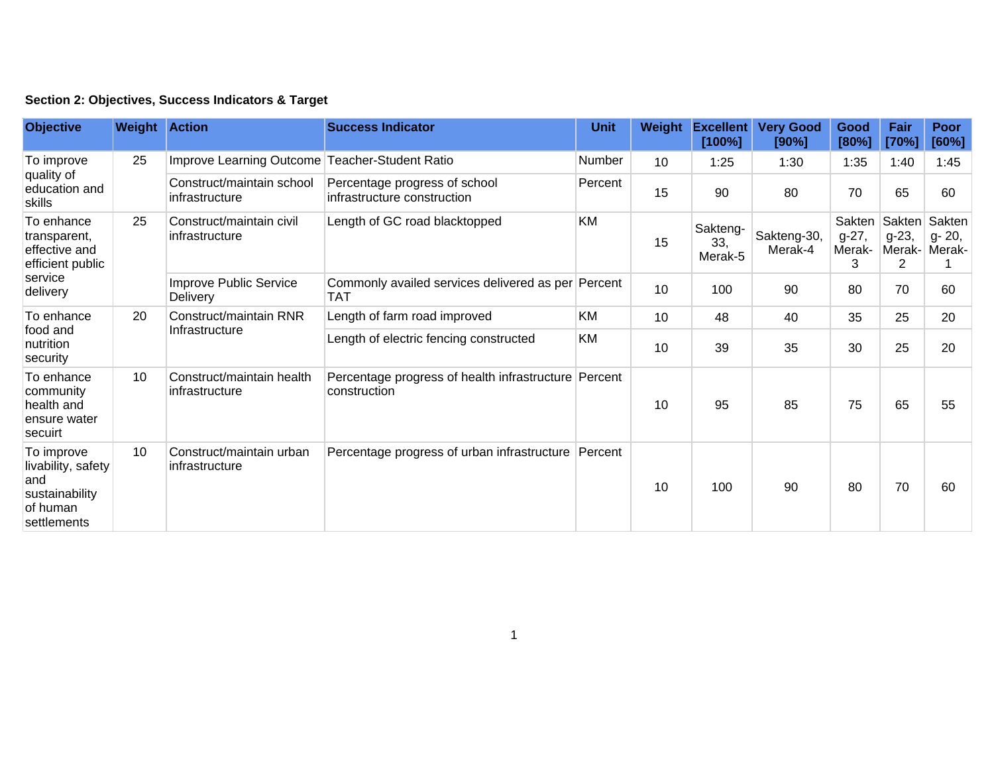|  | Section 2: Objectives, Success Indicators & Target |  |  |  |  |
|--|----------------------------------------------------|--|--|--|--|
|--|----------------------------------------------------|--|--|--|--|

| <b>Objective</b>                                                                       | <b>Weight Action</b> |                                                | <b>Success Indicator</b>                                             | <b>Unit</b> | Weight | <b>Excellent</b><br>[100%] | <b>Very Good</b><br>[90%] | Good<br>[80%]                    | Fair<br>[70%]                    | Poor<br>[60%]              |
|----------------------------------------------------------------------------------------|----------------------|------------------------------------------------|----------------------------------------------------------------------|-------------|--------|----------------------------|---------------------------|----------------------------------|----------------------------------|----------------------------|
| To improve<br>quality of<br>education and<br>skills                                    | 25                   | Improve Learning Outcome Teacher-Student Ratio |                                                                      | Number      | 10     | 1:25                       | 1:30                      | 1:35                             | 1:40                             | 1:45                       |
|                                                                                        |                      | Construct/maintain school<br>infrastructure    | Percentage progress of school<br>infrastructure construction         | Percent     | 15     | 90                         | 80                        | 70                               | 65                               | 60                         |
| To enhance<br>transparent,<br>effective and<br>efficient public<br>service<br>delivery | 25                   | Construct/maintain civil<br>infrastructure     | Length of GC road blacktopped                                        | KM          | 15     | Sakteng-<br>33,<br>Merak-5 | Sakteng-30,<br>Merak-4    | Sakten<br>$g-27,$<br>Merak-<br>3 | Sakten<br>$g-23,$<br>Merak-<br>2 | Sakten<br>g- 20,<br>Merak- |
|                                                                                        |                      | Improve Public Service<br><b>Delivery</b>      | Commonly availed services delivered as per Percent<br>TAT            |             | 10     | 100                        | 90                        | 80                               | 70                               | 60                         |
| To enhance<br>food and<br>nutrition<br>security                                        | 20                   | Construct/maintain RNR<br>Infrastructure       | Length of farm road improved                                         | <b>KM</b>   | 10     | 48                         | 40                        | 35                               | 25                               | 20                         |
|                                                                                        |                      |                                                | Length of electric fencing constructed                               | <b>KM</b>   | 10     | 39                         | 35                        | 30                               | 25                               | 20                         |
| To enhance<br>community<br>health and<br>ensure water<br>secuirt                       | 10                   | Construct/maintain health<br>infrastructure    | Percentage progress of health infrastructure Percent<br>construction |             | 10     | 95                         | 85                        | 75                               | 65                               | 55                         |
| To improve<br>livability, safety<br>and<br>sustainability<br>of human<br>settlements   | 10 <sup>1</sup>      | Construct/maintain urban<br>infrastructure     | Percentage progress of urban infrastructure Percent                  |             | 10     | 100                        | 90                        | 80                               | 70                               | 60                         |